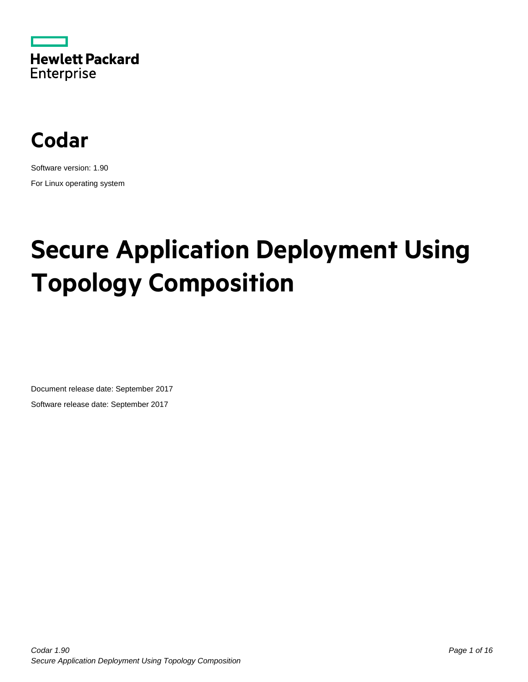



Software version: 1.90 For Linux operating system

# **Secure Application Deployment Using Topology Composition**

Document release date: September 2017 Software release date: September 2017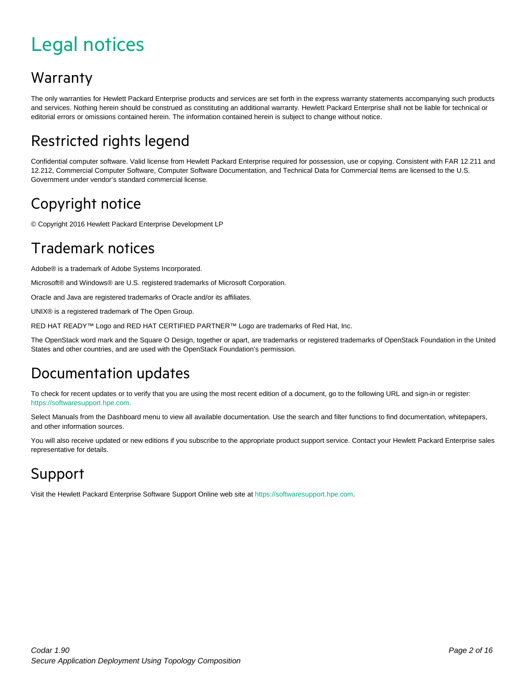# <span id="page-1-0"></span>Legal notices

#### Warranty

The only warranties for Hewlett Packard Enterprise products and services are set forth in the express warranty statements accompanying such products and services. Nothing herein should be construed as constituting an additional warranty. Hewlett Packard Enterprise shall not be liable for technical or editorial errors or omissions contained herein. The information contained herein is subject to change without notice.

#### Restricted rights legend

Confidential computer software. Valid license from Hewlett Packard Enterprise required for possession, use or copying. Consistent with FAR 12.211 and 12.212, Commercial Computer Software, Computer Software Documentation, and Technical Data for Commercial Items are licensed to the U.S. Government under vendor's standard commercial license.

#### Copyright notice

© Copyright 2016 Hewlett Packard Enterprise Development LP

#### Trademark notices

Adobe® is a trademark of Adobe Systems Incorporated.

Microsoft® and Windows® are U.S. registered trademarks of Microsoft Corporation.

Oracle and Java are registered trademarks of Oracle and/or its affiliates.

UNIX® is a registered trademark of The Open Group.

RED HAT READY™ Logo and RED HAT CERTIFIED PARTNER™ Logo are trademarks of Red Hat, Inc.

The OpenStack word mark and the Square O Design, together or apart, are trademarks or registered trademarks of OpenStack Foundation in the United States and other countries, and are used with the OpenStack Foundation's permission.

#### Documentation updates

To check for recent updates or to verify that you are using the most recent edition of a document, go to the following URL and sign-in or register: [https://softwaresupport.hpe.com.](https://softwaresupport.hpe.com./)

Select Manuals from the Dashboard menu to view all available documentation. Use the search and filter functions to find documentation, whitepapers, and other information sources.

You will also receive updated or new editions if you subscribe to the appropriate product support service. Contact your Hewlett Packard Enterprise sales representative for details.

#### Support

Visit the Hewlett Packard Enterprise Software Support Online web site a[t https://softwaresupport.hpe.com.](https://softwaresupport.hpe.com/)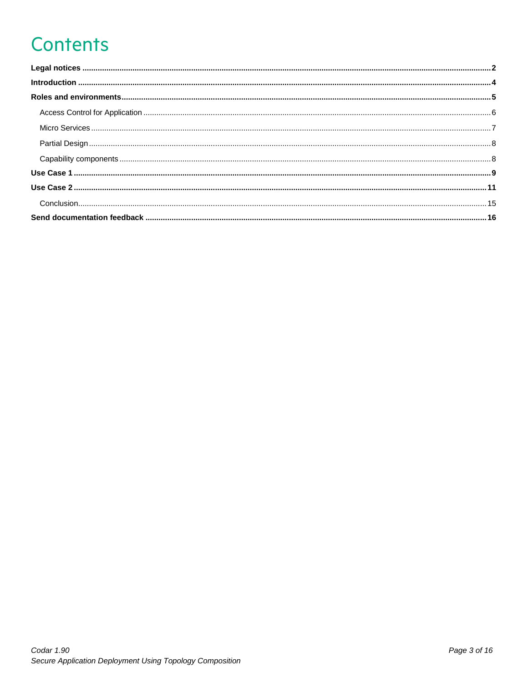# **Contents**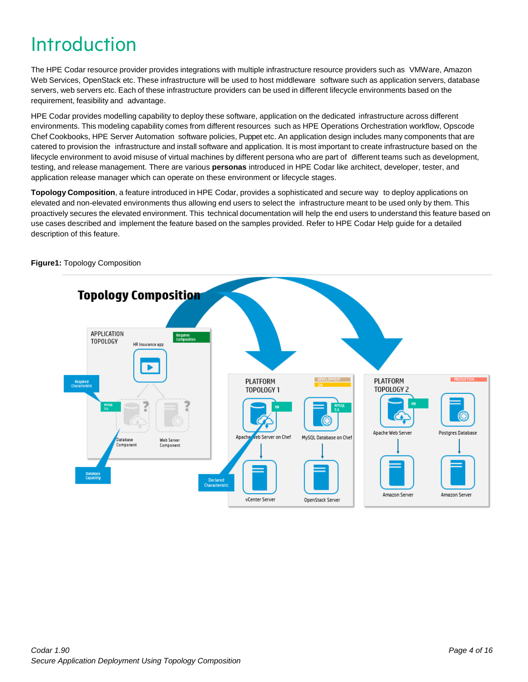# <span id="page-3-0"></span>Introduction

The HPE Codar resource provider provides integrations with multiple infrastructure resource providers such as VMWare, Amazon Web Services, OpenStack etc. These infrastructure will be used to host middleware software such as application servers, database servers, web servers etc. Each of these infrastructure providers can be used in different lifecycle environments based on the requirement, feasibility and advantage.

HPE Codar provides modelling capability to deploy these software, application on the dedicated infrastructure across different environments. This modeling capability comes from different resources such as HPE Operations Orchestration workflow, Opscode Chef Cookbooks, HPE Server Automation software policies, Puppet etc. An application design includes many components that are catered to provision the infrastructure and install software and application. It is most important to create infrastructure based on the lifecycle environment to avoid misuse of virtual machines by different persona who are part of different teams such as development, testing, and release management. There are various **personas** introduced in HPE Codar like architect, developer, tester, and application release manager which can operate on these environment or lifecycle stages.

**Topology Composition**, a feature introduced in HPE Codar, provides a sophisticated and secure way to deploy applications on elevated and non-elevated environments thus allowing end users to select the infrastructure meant to be used only by them. This proactively secures the elevated environment. This technical documentation will help the end users to understand this feature based on use cases described and implement the feature based on the samples provided. Refer to HPE Codar Help guide for a detailed description of this feature.



**Figure1:** Topology Composition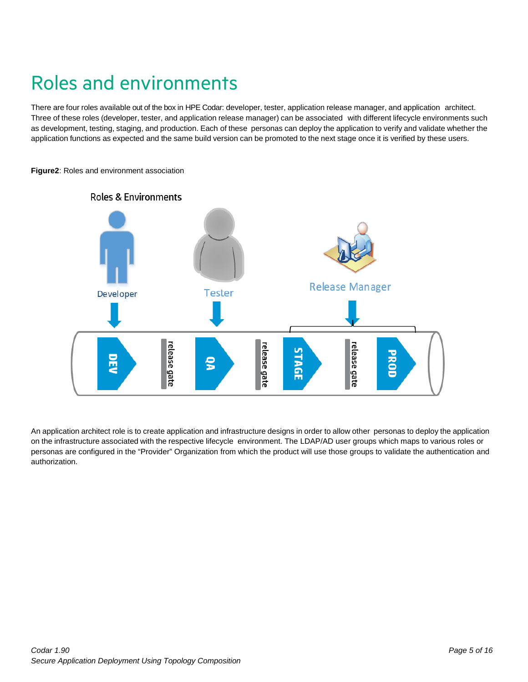# <span id="page-4-0"></span>Roles and environments

There are four roles available out of the box in HPE Codar: developer, tester, application release manager, and application architect. Three of these roles (developer, tester, and application release manager) can be associated with different lifecycle environments such as development, testing, staging, and production. Each of these personas can deploy the application to verify and validate whether the application functions as expected and the same build version can be promoted to the next stage once it is verified by these users.



**Figure2**: Roles and environment association

An application architect role is to create application and infrastructure designs in order to allow other personas to deploy the application on the infrastructure associated with the respective lifecycle environment. The LDAP/AD user groups which maps to various roles or personas are configured in the "Provider" Organization from which the product will use those groups to validate the authentication and authorization.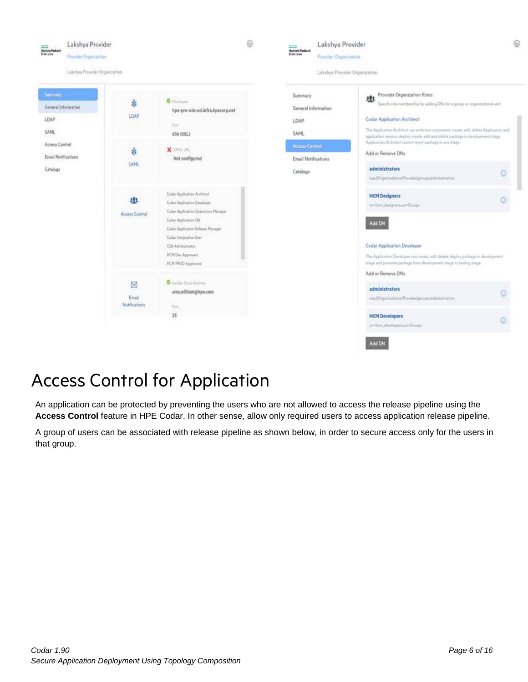

### <span id="page-5-0"></span>Access Control for Application

An application can be protected by preventing the users who are not allowed to access the release pipeline using the Access Control feature in HPE Codar. In other sense, allow only required users to access application release pipeline.

A group of users can be associated with release pipeline as shown below, in order to secure access only for the users in that group.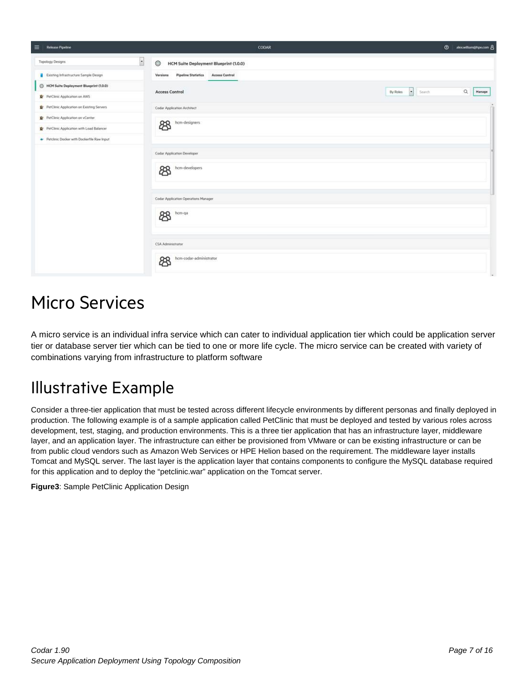| $\equiv$<br>Release Pipeline                 | CODAR                                                           | $\circ$<br>alexwilliam@hpe.com 8                |
|----------------------------------------------|-----------------------------------------------------------------|-------------------------------------------------|
| $\blacksquare$<br><b>Topology Designs</b>    | ◎<br>HCM Suite Deployment Blueprint (1.0.0)                     |                                                 |
| Existing Infrastructure Sample Design        | <b>Pipeline Statistics</b><br><b>Access Control</b><br>Versions |                                                 |
| Blueprint (1,0,0)                            |                                                                 | $\hbox{\tt Q}$                                  |
| PerClinic Application on AWS                 | <b>Access Control</b>                                           | $\vert x \vert$<br>By Roles<br>Manage<br>Seinch |
| Pr PetClinic Application on Existing Servers | Codar Application Architect                                     |                                                 |
| PetClinic Application on vCenter             | hcm-designers                                                   |                                                 |
| PerClinic Application with Load Balancer     | සි                                                              |                                                 |
| Petclinic Docker with Dockerfile Raw Input   |                                                                 |                                                 |
|                                              | Codar Application Developer                                     |                                                 |
|                                              | hcm-developers<br>සි                                            |                                                 |
|                                              | Codar Application Operations Manager                            |                                                 |
|                                              | hcm-qa<br>සි                                                    |                                                 |
|                                              | CSA Administrator                                               |                                                 |
|                                              | hcm-codar-administrator<br>ඎ                                    |                                                 |

### <span id="page-6-0"></span>Micro Services

A micro service is an individual infra service which can cater to individual application tier which could be application server tier or database server tier which can be tied to one or more life cycle. The micro service can be created with variety of combinations varying from infrastructure to platform software

#### Illustrative Example

Consider a three-tier application that must be tested across different lifecycle environments by different personas and finally deployed in production. The following example is of a sample application called PetClinic that must be deployed and tested by various roles across development, test, staging, and production environments. This is a three tier application that has an infrastructure layer, middleware layer, and an application layer. The infrastructure can either be provisioned from VMware or can be existing infrastructure or can be from public cloud vendors such as Amazon Web Services or HPE Helion based on the requirement. The middleware layer installs Tomcat and MySQL server. The last layer is the application layer that contains components to configure the MySQL database required for this application and to deploy the "petclinic.war" application on the Tomcat server.

**Figure3**: Sample PetClinic Application Design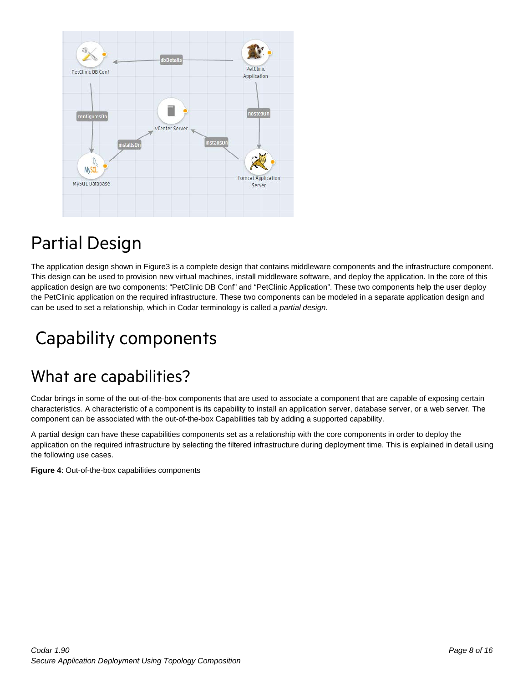

# <span id="page-7-0"></span>Partial Design

The application design shown in Figure3 is a complete design that contains middleware components and the infrastructure component. This design can be used to provision new virtual machines, install middleware software, and deploy the application. In the core of this application design are two components: "PetClinic DB Conf" and "PetClinic Application". These two components help the user deploy the PetClinic application on the required infrastructure. These two components can be modeled in a separate application design and can be used to set a relationship, which in Codar terminology is called a *partial design*.

# <span id="page-7-1"></span>Capability components

#### What are capabilities?

Codar brings in some of the out-of-the-box components that are used to associate a component that are capable of exposing certain characteristics. A characteristic of a component is its capability to install an application server, database server, or a web server. The component can be associated with the out-of-the-box Capabilities tab by adding a supported capability.

A partial design can have these capabilities components set as a relationship with the core components in order to deploy the application on the required infrastructure by selecting the filtered infrastructure during deployment time. This is explained in detail using the following use cases.

**Figure 4**: Out-of-the-box capabilities components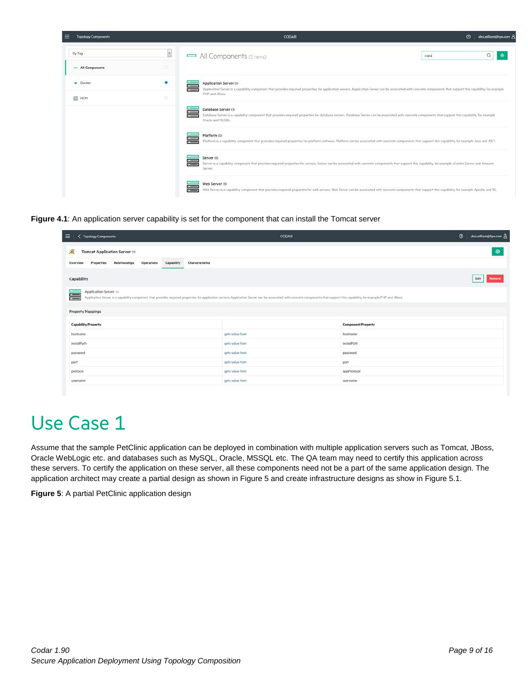| ≡<br><b>Topology Components</b> |                | CODAR                                                                                                                                                                                                                                                 | $\circ$<br>alex.william@hpe.com 8 |
|---------------------------------|----------------|-------------------------------------------------------------------------------------------------------------------------------------------------------------------------------------------------------------------------------------------------------|-----------------------------------|
| By Tag                          | $\blacksquare$ | All Components (5 Items)<br>capa                                                                                                                                                                                                                      | Q<br>G                            |
| All Components                  | o              |                                                                                                                                                                                                                                                       |                                   |
| · Docker                        | ۰              | Application Server (1)<br>$\equiv$<br>Application Server is a capability component that provides required properties for application servers. Application Server can be associated with concrete components that support this capability, for example |                                   |
| E HCM                           | o              | PHP and JBoss.                                                                                                                                                                                                                                        |                                   |
|                                 |                | Database Server (1)<br>Database Server is a capability component that provides required properties for database servers. Database Server can be associated with concrete components that support this capability, for example<br>Oracle and MySQL.    |                                   |
|                                 |                | Platform (1)<br>Platform is a capability component that provides required properties for platform software. Platform can be associated with concrete components that support this capability, for example Java and JNET.                              |                                   |
|                                 |                | Server (1)<br>Server is a capability component that provides required properties for servers. Server can be associated with concrete components that support this capability, for example vCenter Server and Amazon<br>Server.                        |                                   |
|                                 |                | Web Server (1)<br>$\equiv$<br>Web Server is a capability component that provides required properties for web servers. Web Server can be associated with concrete components that support this capability, for example Apache and IIS.                 |                                   |

**Figure 4.1**: An application server capability is set for the component that can install the Tomcat server

| $\equiv$<br><b>Topology Components</b>                                                                                                                                                                                                                        | CODAR           |                           | $\circ$<br>alex.william@hpe.com 8 |
|---------------------------------------------------------------------------------------------------------------------------------------------------------------------------------------------------------------------------------------------------------------|-----------------|---------------------------|-----------------------------------|
| 震<br><b>Tomcat Application Server (1)</b>                                                                                                                                                                                                                     |                 |                           | Ø                                 |
| Relationships<br>Operations<br>Capability<br>Characteristics<br>Properties<br>Overview                                                                                                                                                                        |                 |                           |                                   |
| Capability                                                                                                                                                                                                                                                    |                 |                           | Edit<br>Remove                    |
| Application Server (1)<br>〓<br>Application Server is a capability component that provides required properties for application servers. Application Server can be associated with concrete components that support this capability, for example PHP and JBoss. |                 |                           |                                   |
|                                                                                                                                                                                                                                                               |                 |                           |                                   |
| <b>Property Mappings</b>                                                                                                                                                                                                                                      |                 |                           |                                   |
| <b>Capability Property</b>                                                                                                                                                                                                                                    |                 | <b>Component Property</b> |                                   |
| hostname                                                                                                                                                                                                                                                      | gets value from | hostname                  |                                   |
| installPath                                                                                                                                                                                                                                                   | gets value from | installPath               |                                   |
| password                                                                                                                                                                                                                                                      | gets value from | password                  |                                   |
| port                                                                                                                                                                                                                                                          | gets value from | port                      |                                   |
| protocol                                                                                                                                                                                                                                                      | gets value from | appProtocol               |                                   |
| username                                                                                                                                                                                                                                                      | gets value from |                           |                                   |

# <span id="page-8-0"></span>Use Case 1

Assume that the sample PetClinic application can be deployed in combination with multiple application servers such as Tomcat, JBoss, Oracle WebLogic etc. and databases such as MySQL, Oracle, MSSQL etc. The QA team may need to certify this application across these servers. To certify the application on these server, all these components need not be a part of the same application design. The application architect may create a partial design as shown in Figure 5 and create infrastructure designs as show in Figure 5.1.

**Figure 5**: A partial PetClinic application design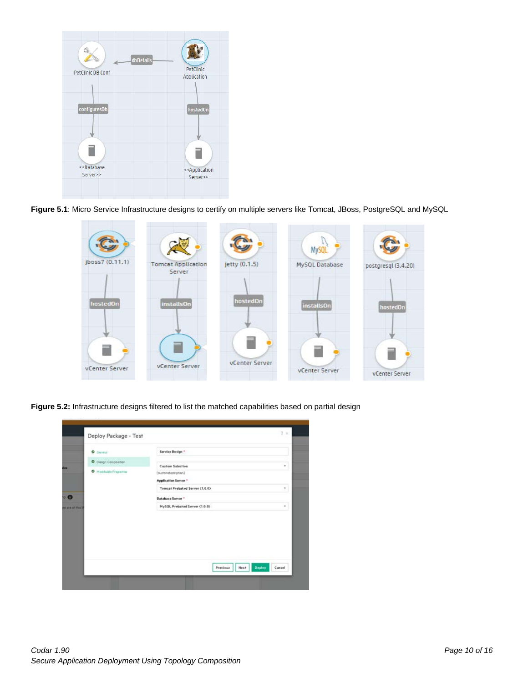

**Figure 5.1**: Micro Service Infrastructure designs to certify on multiple servers like Tomcat, JBoss, PostgreSQL and MySQL



**Figure 5.2:** Infrastructure designs filtered to list the matched capabilities based on partial design

| C Dasgn Composition<br><b>Custom Selection</b><br>٠<br>Madifiable Properties<br>[outtomdestription]<br>Application Server *<br>Tomcat Prebaked Server (1.0.0)<br>٠<br>Database Server <sup>*</sup><br>MySQL Prebaked Server (1.0.0)<br>٠<br>We are at mus in | <b>O</b> General | Service Design * |  |
|--------------------------------------------------------------------------------------------------------------------------------------------------------------------------------------------------------------------------------------------------------------|------------------|------------------|--|
|                                                                                                                                                                                                                                                              |                  |                  |  |
|                                                                                                                                                                                                                                                              |                  |                  |  |
|                                                                                                                                                                                                                                                              |                  |                  |  |
|                                                                                                                                                                                                                                                              |                  |                  |  |
|                                                                                                                                                                                                                                                              |                  |                  |  |
|                                                                                                                                                                                                                                                              |                  |                  |  |
|                                                                                                                                                                                                                                                              |                  |                  |  |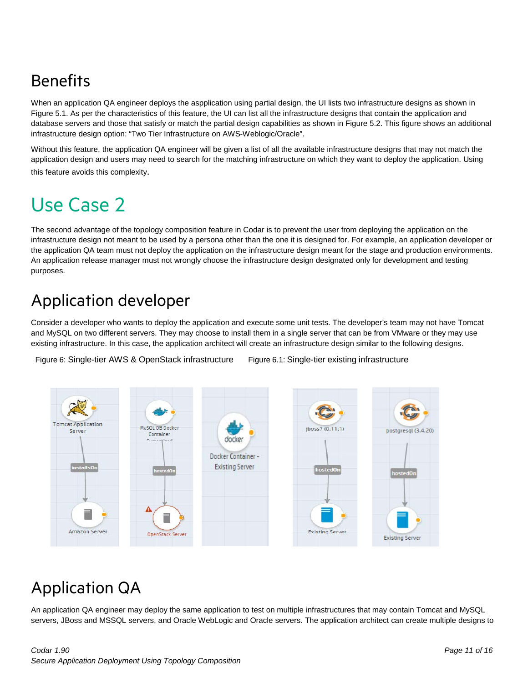### Benefits

When an application QA engineer deploys the aspplication using partial design, the UI lists two infrastructure designs as shown in Figure 5.1. As per the characteristics of this feature, the UI can list all the infrastructure designs that contain the application and database servers and those that satisfy or match the partial design capabilities as shown in Figure 5.2. This figure shows an additional infrastructure design option: "Two Tier Infrastructure on AWS-Weblogic/Oracle".

Without this feature, the application QA engineer will be given a list of all the available infrastructure designs that may not match the application design and users may need to search for the matching infrastructure on which they want to deploy the application. Using this feature avoids this complexity.

# <span id="page-10-0"></span>Use Case 2

The second advantage of the topology composition feature in Codar is to prevent the user from deploying the application on the infrastructure design not meant to be used by a persona other than the one it is designed for. For example, an application developer or the application QA team must not deploy the application on the infrastructure design meant for the stage and production environments. An application release manager must not wrongly choose the infrastructure design designated only for development and testing purposes.

### Application developer

Consider a developer who wants to deploy the application and execute some unit tests. The developer's team may not have Tomcat and MySQL on two different servers. They may choose to install them in a single server that can be from VMware or they may use existing infrastructure. In this case, the application architect will create an infrastructure design similar to the following designs.

Figure 6: Single-tier AWS & OpenStack infrastructure Figure 6.1: Single-tier existing infrastructure



### Application QA

An application QA engineer may deploy the same application to test on multiple infrastructures that may contain Tomcat and MySQL servers, JBoss and MSSQL servers, and Oracle WebLogic and Oracle servers. The application architect can create multiple designs to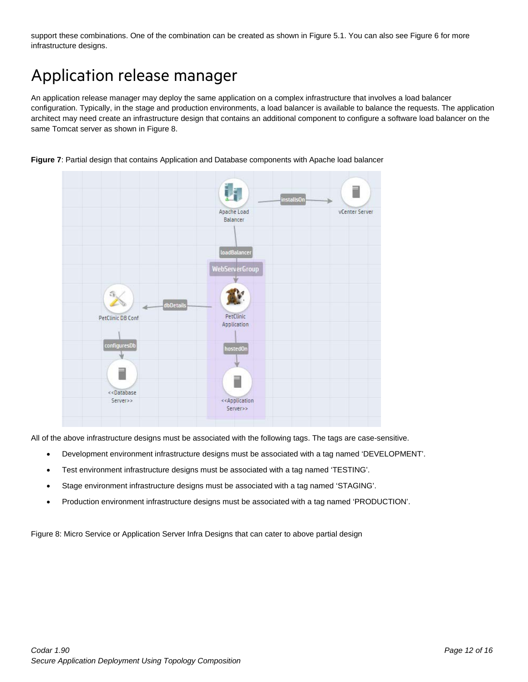support these combinations. One of the combination can be created as shown in Figure 5.1. You can also see Figure 6 for more infrastructure designs.

### Application release manager

An application release manager may deploy the same application on a complex infrastructure that involves a load balancer configuration. Typically, in the stage and production environments, a load balancer is available to balance the requests. The application architect may need create an infrastructure design that contains an additional component to configure a software load balancer on the same Tomcat server as shown in Figure 8.



**Figure 7**: Partial design that contains Application and Database components with Apache load balancer

All of the above infrastructure designs must be associated with the following tags. The tags are case-sensitive.

- Development environment infrastructure designs must be associated with a tag named 'DEVELOPMENT'.
- Test environment infrastructure designs must be associated with a tag named 'TESTING'.
- Stage environment infrastructure designs must be associated with a tag named 'STAGING'.
- Production environment infrastructure designs must be associated with a tag named 'PRODUCTION'.

Figure 8: Micro Service or Application Server Infra Designs that can cater to above partial design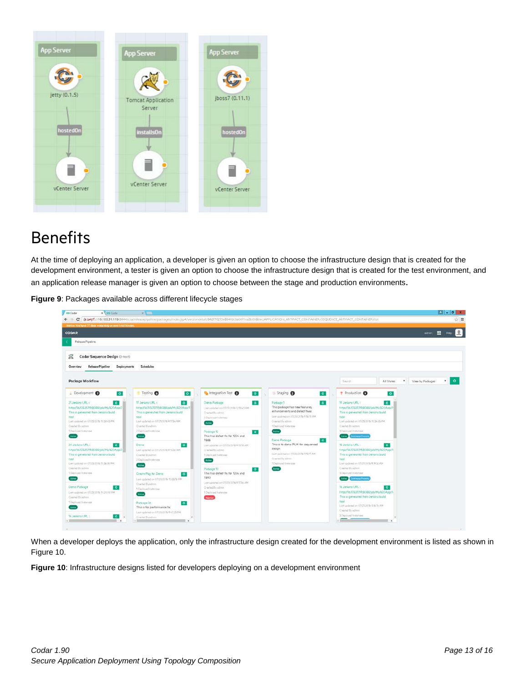

#### Benefits

At the time of deploying an application, a developer is given an option to choose the infrastructure design that is created for the development environment, a tester is given an option to choose the infrastructure design that is created for the test environment, and

an application release manager is given an option to choose between the stage and production environments.

**Figure 9**: Packages available across different lifecycle stages

| x Coder<br><b>Codar</b>                                                                                                                                                                                                                                                                                                                                                                     | $x = 1$                                                                                                                                                                                                                                                                                                                                    |                                                                                                                                                                                                                                                                                                 |                                                                                                                                                                                                                                                                                                                                                                  |                                                                                                                                                                                                                                                                                                                                                                                                                             |                               |
|---------------------------------------------------------------------------------------------------------------------------------------------------------------------------------------------------------------------------------------------------------------------------------------------------------------------------------------------------------------------------------------------|--------------------------------------------------------------------------------------------------------------------------------------------------------------------------------------------------------------------------------------------------------------------------------------------------------------------------------------------|-------------------------------------------------------------------------------------------------------------------------------------------------------------------------------------------------------------------------------------------------------------------------------------------------|------------------------------------------------------------------------------------------------------------------------------------------------------------------------------------------------------------------------------------------------------------------------------------------------------------------------------------------------------------------|-----------------------------------------------------------------------------------------------------------------------------------------------------------------------------------------------------------------------------------------------------------------------------------------------------------------------------------------------------------------------------------------------------------------------------|-------------------------------|
| $\leftarrow$ - C                                                                                                                                                                                                                                                                                                                                                                            |                                                                                                                                                                                                                                                                                                                                            |                                                                                                                                                                                                                                                                                                 | Brbans://16.103.31.119:8444/csa/releasepipeline/backades/index.isp#/versiondetail/842f762f3eB94fdc9a06f1ea3b0080ec/APPLiCATION_ARTIFACT_CONTAINER/SEQUENCE_ARTIFACT_CONTAINER/SEQUENCE_ARTIFACT_CONTAINER                                                                                                                                                        |                                                                                                                                                                                                                                                                                                                                                                                                                             | ☆■                            |
| Notice: You have 77 days remaining on your trial license.                                                                                                                                                                                                                                                                                                                                   |                                                                                                                                                                                                                                                                                                                                            |                                                                                                                                                                                                                                                                                                 |                                                                                                                                                                                                                                                                                                                                                                  |                                                                                                                                                                                                                                                                                                                                                                                                                             |                               |
| <b>CODAR</b>                                                                                                                                                                                                                                                                                                                                                                                |                                                                                                                                                                                                                                                                                                                                            |                                                                                                                                                                                                                                                                                                 |                                                                                                                                                                                                                                                                                                                                                                  |                                                                                                                                                                                                                                                                                                                                                                                                                             | 田<br>admin<br>Help            |
| Release Pipeline                                                                                                                                                                                                                                                                                                                                                                            |                                                                                                                                                                                                                                                                                                                                            |                                                                                                                                                                                                                                                                                                 |                                                                                                                                                                                                                                                                                                                                                                  |                                                                                                                                                                                                                                                                                                                                                                                                                             |                               |
|                                                                                                                                                                                                                                                                                                                                                                                             |                                                                                                                                                                                                                                                                                                                                            |                                                                                                                                                                                                                                                                                                 |                                                                                                                                                                                                                                                                                                                                                                  |                                                                                                                                                                                                                                                                                                                                                                                                                             |                               |
| Codar Sequence Design (3-test)<br>窑                                                                                                                                                                                                                                                                                                                                                         |                                                                                                                                                                                                                                                                                                                                            |                                                                                                                                                                                                                                                                                                 |                                                                                                                                                                                                                                                                                                                                                                  |                                                                                                                                                                                                                                                                                                                                                                                                                             |                               |
|                                                                                                                                                                                                                                                                                                                                                                                             |                                                                                                                                                                                                                                                                                                                                            |                                                                                                                                                                                                                                                                                                 |                                                                                                                                                                                                                                                                                                                                                                  |                                                                                                                                                                                                                                                                                                                                                                                                                             |                               |
| Release Pipeline<br>Deployments<br>Overview                                                                                                                                                                                                                                                                                                                                                 | Schedules                                                                                                                                                                                                                                                                                                                                  |                                                                                                                                                                                                                                                                                                 |                                                                                                                                                                                                                                                                                                                                                                  |                                                                                                                                                                                                                                                                                                                                                                                                                             |                               |
|                                                                                                                                                                                                                                                                                                                                                                                             |                                                                                                                                                                                                                                                                                                                                            |                                                                                                                                                                                                                                                                                                 |                                                                                                                                                                                                                                                                                                                                                                  |                                                                                                                                                                                                                                                                                                                                                                                                                             |                               |
| Package Workflow                                                                                                                                                                                                                                                                                                                                                                            |                                                                                                                                                                                                                                                                                                                                            |                                                                                                                                                                                                                                                                                                 |                                                                                                                                                                                                                                                                                                                                                                  | All Shanes<br>$\bullet$ .<br>Sainh                                                                                                                                                                                                                                                                                                                                                                                          | $\cdot$ 0<br>View by Packages |
| <b>L</b> Development<br>$\bullet$                                                                                                                                                                                                                                                                                                                                                           | Testing <sup>6</sup><br>$\bullet$                                                                                                                                                                                                                                                                                                          | htegration Test<br>$\circ$                                                                                                                                                                                                                                                                      | Staging @<br>$\bullet$                                                                                                                                                                                                                                                                                                                                           | Production @<br>$\bullet$                                                                                                                                                                                                                                                                                                                                                                                                   |                               |
| $\bullet$<br>21 Jankins URL:<br>http://ta103.31119;8068/job/My%20App/2<br>This is generated from Jenkins build<br>tool<br>Lestupdetechn 05/25/2016 30:38:45 PM<br>Created By agonn<br>1 Distinyed Institutes<br>Actio<br>$\bullet$<br>30 Jankins URL :<br>http://t6.f03.31119;8088/job/My%20App/2<br>This is generated from Jenkins build<br>tool<br>Last updated in 07/25/2016 10:36:58 PM | $\bullet$<br>17 Jankins URL 1<br>http://to.103.31119:8088/job/My%20App/T<br>This is generated from Jenkins build.<br>tool<br>List undated on 07/25/2016 @1754 AM.<br>Crashed By admin-<br>2 Deployed Instances<br>Acros<br>Denn<br>$\bullet$<br>Lest quidated on 07/21/2016 @13:30 AM<br>Cramius By edmin<br>2 Deployed Instances<br>Atlas | Damo Padcage<br>$\bullet$<br>List updated on 07/27/2016 123545 AN<br>Created By signin<br>3 Deptsyed Instances<br>Action<br>Package 12<br>$\bullet$<br>This has defect for for 1234 and<br>7888<br>Last updated an 07/20/2016 9 18:10 AM<br>Created By admin.<br>1 Desloyed Instances<br>Action | $\bullet$<br>Padcage 1<br>This padcage has new features,<br>enhancements and defect fives<br>Last updated on 0.02012018 @ to 10 AM.<br>Crainfed By edmin<br>* Deployed Instances<br>Atlant.<br>Dano Padcage<br>$\bullet$<br>This is to derio PLM for sequenced<br>delign.<br>East updated on 07/20/2016 9:1517 AM<br>Created By advan-<br>3 Deployed Institution | $\ddot{\circ}$<br>10 Jankins URL:<br>https://tb.103.31.119:8088/job/My%20App/?<br>This is generated from Jenkins build.<br>tool<br>Limit colds had an 07/25/2016 50:54:55 PM<br>Charled By agreer<br>5 Digitoved Institutes<br>Active Command Promote<br>18 Jankins URL:<br>$\bullet$<br>https/16.103.31.119;9088/job/My%20App/1<br>This is generated from Jenkins build<br>tool<br>MAS2 97.9 & 07/21/20 hs Safebbar fan 1. |                               |
| Chiated Evadrein<br>1 Deployed fraiteness<br><b>Ameri</b><br>Denio Padcage<br>$\circ$<br>Lem updated an 01/25/2016 10:30:00 PM<br>Greened By agents<br>1 Deployed Instances<br>Actos<br>14 Jersons URL 1<br>$\bullet$<br>$\sim$<br>$\sim$                                                                                                                                                   | Create Pkg for Dento<br>$\circ$<br>Law updated on 07/20/2016 10:3516 PM<br>Crashed By admin.<br>1 Electoyed Wettminer<br>Attim<br>$\bullet$<br>Parkage 26<br>This is for performance fix<br>Last updated on 07/20/2070 9 AT25 PM<br>Crasted Dy admin<br>$\overline{\phantom{a}}$                                                           | Package 10<br>$\bullet$<br>This has defect fix for 1234 and<br>7890<br>Lest spdated an 07/20/2016 9:17:54 AM<br>Created By admin<br>1 Dayloved Instances<br><b>Reserved</b>                                                                                                                     | <b>Action</b>                                                                                                                                                                                                                                                                                                                                                    | Created By adress.<br>5 Dealeyed Inmocent<br>Active Continues From its<br>16 Jenkins UPL:<br>$\bullet$<br>http://lo.103.31.119;8088/job/My120App/5<br>This is generated from Jenkins build<br>tool<br>Last up and on 07/25/2016 (FSL14 AM)<br>Created By adress<br>5 Distoyed Instances<br>1000<br>$\sim$<br>___                                                                                                            |                               |

When a developer deploys the application, only the infrastructure design created for the development environment is listed as shown in Figure 10.

**Figure 10**: Infrastructure designs listed for developers deploying on a development environment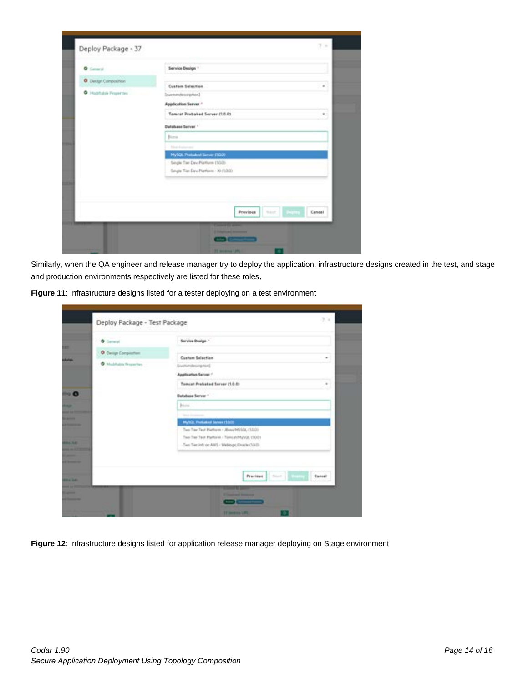| <b>O</b> Central            | Service Design *                                                          |
|-----------------------------|---------------------------------------------------------------------------|
| <b>O</b> Design Composition |                                                                           |
| C Hushalak Projection       | Custom Selection<br>٠<br>Institution and countries                        |
|                             | Application Server *                                                      |
|                             | Tomcat Prebaked Server (1.0.0)<br>٠                                       |
|                             | <b>Dutshase Server *</b>                                                  |
|                             | June.                                                                     |
|                             | <b>Education Andrew Area</b>                                              |
|                             | MySQL Pretailed Server (1.0.0)                                            |
|                             | Sergie Tier Dev Platform (1/3/3)<br>Single Tier Dev Platform - 30 (1.0.0) |
|                             |                                                                           |

Similarly, when the QA engineer and release manager try to deploy the application, infrastructure designs created in the test, and stage and production environments respectively are listed for these roles.

| <b>O</b> General      | Service Design *                                    |
|-----------------------|-----------------------------------------------------|
| O Delign Composition: |                                                     |
| C Haddalek Freember   | <b>Custom Selection</b><br>٠<br>Institutescriptural |
|                       | Application Server +                                |
|                       | Tomcat Prebaked Server (1.0.8)                      |
|                       | Database Server 1                                   |
|                       | <b>Britis</b>                                       |
|                       | The police and services                             |
|                       | MySQL Preliated Server (1020)                       |
|                       | Two Tay Tast Platform - JEwa/MillOL (1.00)          |
|                       | Two Tay Test Platform - Tomcat/MyUQL (1001)         |
|                       | Two Tier Jefr on AWS / Webbypt/Drade (10:0)         |
|                       |                                                     |
|                       |                                                     |
|                       | Sout Edition<br>Previous.<br>Cancel                 |
|                       | <b>The Company</b>                                  |

**Figure 12**: Infrastructure designs listed for application release manager deploying on Stage environment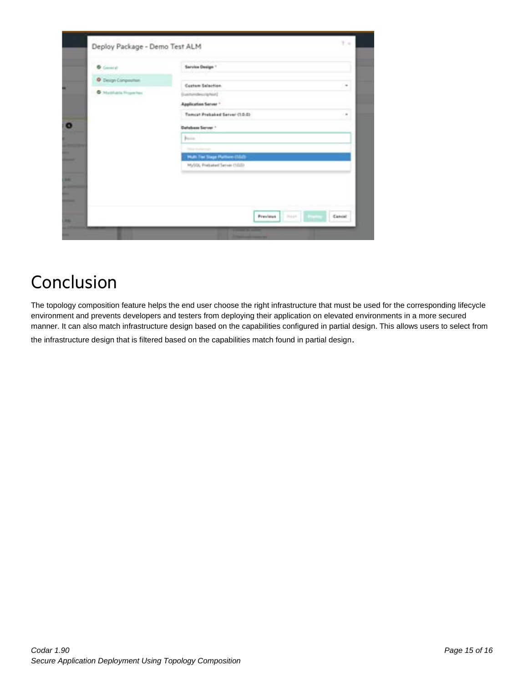| D. Design Competent<br>Costom Selection<br><b>B</b> Maddutch Househour<br>Duesenheimighed<br>Application Server *<br>Tempor Probabilitätiver (1.0.0)<br><b>Database Server 1</b><br><b>Basico</b><br><b>This Selection</b><br>Multi The Stage Purnam (SSS)<br>MySQL President Server (3020) | <b>D</b> General | Service Design."<br><b>San Art College Lin</b> |  |
|---------------------------------------------------------------------------------------------------------------------------------------------------------------------------------------------------------------------------------------------------------------------------------------------|------------------|------------------------------------------------|--|
|                                                                                                                                                                                                                                                                                             |                  |                                                |  |
|                                                                                                                                                                                                                                                                                             |                  |                                                |  |
|                                                                                                                                                                                                                                                                                             |                  |                                                |  |
|                                                                                                                                                                                                                                                                                             |                  |                                                |  |
|                                                                                                                                                                                                                                                                                             |                  |                                                |  |
|                                                                                                                                                                                                                                                                                             |                  |                                                |  |
|                                                                                                                                                                                                                                                                                             |                  |                                                |  |
|                                                                                                                                                                                                                                                                                             |                  |                                                |  |
|                                                                                                                                                                                                                                                                                             |                  |                                                |  |
|                                                                                                                                                                                                                                                                                             |                  |                                                |  |
|                                                                                                                                                                                                                                                                                             |                  |                                                |  |

## <span id="page-14-0"></span>Conclusion

The topology composition feature helps the end user choose the right infrastructure that must be used for the corresponding lifecycle environment and prevents developers and testers from deploying their application on elevated environments in a more secured manner. It can also match infrastructure design based on the capabilities configured in partial design. This allows users to select from

the infrastructure design that is filtered based on the capabilities match found in partial design.